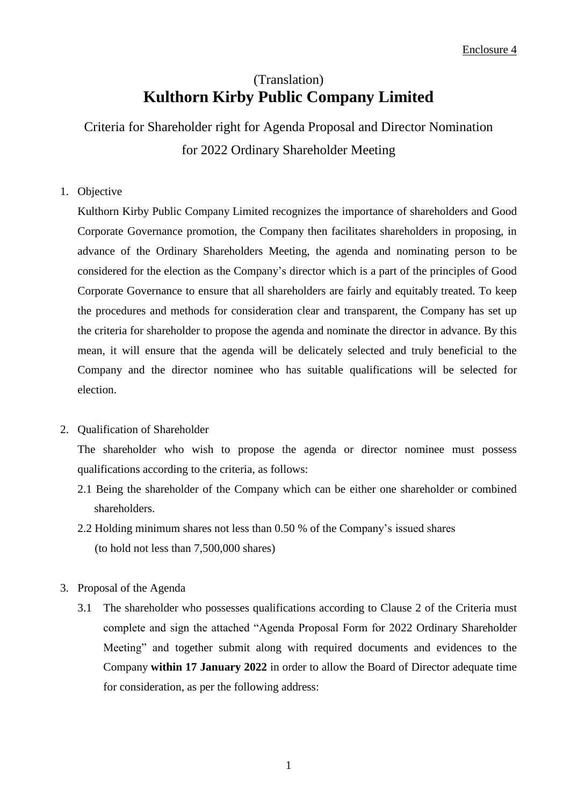## (Translation) **Kulthorn Kirby Public Company Limited**

Criteria for Shareholder right for Agenda Proposal and Director Nomination for 2022 Ordinary Shareholder Meeting

## 1. Objective

Kulthorn Kirby Public Company Limited recognizes the importance of shareholders and Good Corporate Governance promotion, the Company then facilitates shareholders in proposing, in advance of the Ordinary Shareholders Meeting, the agenda and nominating person to be considered for the election as the Company's director which is a part of the principles of Good Corporate Governance to ensure that all shareholders are fairly and equitably treated. To keep the procedures and methods for consideration clear and transparent, the Company has set up the criteria for shareholder to propose the agenda and nominate the director in advance. By this mean, it will ensure that the agenda will be delicately selected and truly beneficial to the Company and the director nominee who has suitable qualifications will be selected for election.

## 2. Qualification of Shareholder

The shareholder who wish to propose the agenda or director nominee must possess qualifications according to the criteria, as follows:

- 2.1 Being the shareholder of the Company which can be either one shareholder or combined shareholders.
- 2.2 Holding minimum shares not less than 0.50 % of the Company's issued shares (to hold not less than 7,500,000 shares)
- 3. Proposal of the Agenda
	- 3.1 The shareholder who possesses qualifications according to Clause 2 of the Criteria must complete and sign the attached "Agenda Proposal Form for 2022 Ordinary Shareholder Meeting" and together submit along with required documents and evidences to the Company **within 17 January 2022** in order to allow the Board of Director adequate time for consideration, as per the following address: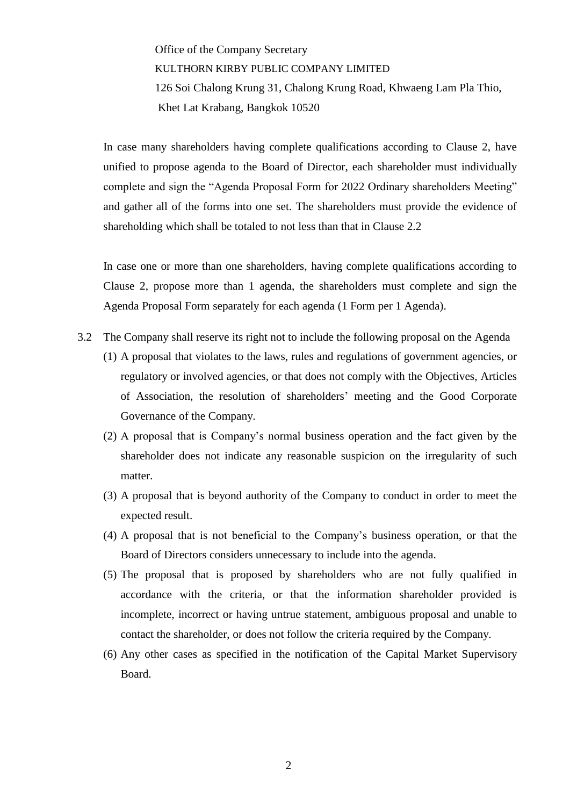Office of the Company Secretary KULTHORN KIRBY PUBLIC COMPANY LIMITED 126 Soi Chalong Krung 31, Chalong Krung Road, Khwaeng Lam Pla Thio, Khet Lat Krabang, Bangkok 10520

In case many shareholders having complete qualifications according to Clause 2, have unified to propose agenda to the Board of Director, each shareholder must individually complete and sign the "Agenda Proposal Form for 2022 Ordinary shareholders Meeting" and gather all of the forms into one set. The shareholders must provide the evidence of shareholding which shall be totaled to not less than that in Clause 2.2

In case one or more than one shareholders, having complete qualifications according to Clause 2, propose more than 1 agenda, the shareholders must complete and sign the Agenda Proposal Form separately for each agenda (1 Form per 1 Agenda).

- 3.2 The Company shall reserve its right not to include the following proposal on the Agenda
	- (1) A proposal that violates to the laws, rules and regulations of government agencies, or regulatory or involved agencies, or that does not comply with the Objectives, Articles of Association, the resolution of shareholders' meeting and the Good Corporate Governance of the Company.
	- (2) A proposal that is Company's normal business operation and the fact given by the shareholder does not indicate any reasonable suspicion on the irregularity of such matter.
	- (3) A proposal that is beyond authority of the Company to conduct in order to meet the expected result.
	- (4) A proposal that is not beneficial to the Company's business operation, or that the Board of Directors considers unnecessary to include into the agenda.
	- (5) The proposal that is proposed by shareholders who are not fully qualified in accordance with the criteria, or that the information shareholder provided is incomplete, incorrect or having untrue statement, ambiguous proposal and unable to contact the shareholder, or does not follow the criteria required by the Company.
	- (6) Any other cases as specified in the notification of the Capital Market Supervisory Board.